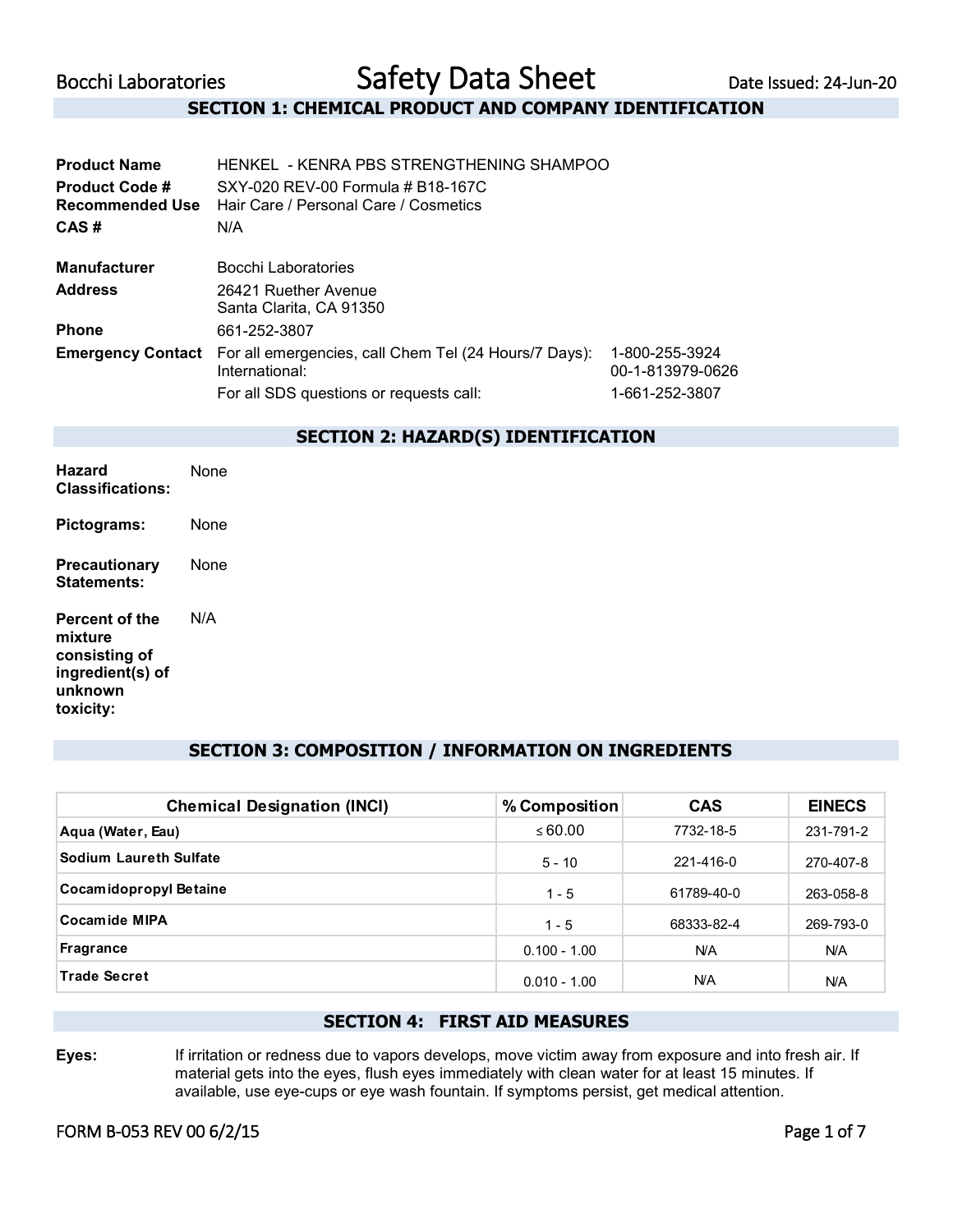# **SECTION 1: CHEMICAL PRODUCT AND COMPANY IDENTIFICATION**

| <b>Product Name</b>                      | HENKEL - KENRA PBS STRENGTHENING SHAMPOO                                   |                                    |  |
|------------------------------------------|----------------------------------------------------------------------------|------------------------------------|--|
| <b>Product Code #</b><br>Recommended Use | SXY-020 REV-00 Formula # B18-167C<br>Hair Care / Personal Care / Cosmetics |                                    |  |
| CAS#                                     | N/A                                                                        |                                    |  |
| <b>Manufacturer</b>                      | Bocchi Laboratories                                                        |                                    |  |
| <b>Address</b>                           | 26421 Ruether Avenue<br>Santa Clarita, CA 91350                            |                                    |  |
| <b>Phone</b>                             | 661-252-3807                                                               |                                    |  |
| <b>Emergency Contact</b>                 | For all emergencies, call Chem Tel (24 Hours/7 Days):<br>International:    | 1-800-255-3924<br>00-1-813979-0626 |  |
|                                          | For all SDS questions or requests call:                                    | 1-661-252-3807                     |  |
|                                          | <b>SECTION 2: HAZARD(S) IDENTIFICATION</b>                                 |                                    |  |
| <b>Hazard</b>                            | None                                                                       |                                    |  |

| Hazard<br><b>Classifications:</b>                                                             | None |
|-----------------------------------------------------------------------------------------------|------|
| Pictograms:                                                                                   | None |
| Precautionary<br>Statements:                                                                  | None |
| <b>Percent of the</b><br>mixture<br>consisting of<br>ingredient(s) of<br>unknown<br>toxicity: | N/A  |

## **SECTION 3: COMPOSITION / INFORMATION ON INGREDIENTS**

| <b>Chemical Designation (INCI)</b> | % Composition  | <b>CAS</b> | <b>EINECS</b> |
|------------------------------------|----------------|------------|---------------|
| Aqua (Water, Eau)                  | $\leq 60.00$   | 7732-18-5  | 231-791-2     |
| <b>Sodium Laureth Sulfate</b>      | $5 - 10$       | 221-416-0  | 270-407-8     |
| Cocamidopropyl Betaine             | $1 - 5$        | 61789-40-0 | 263-058-8     |
| <b>Cocamide MIPA</b>               | $1 - 5$        | 68333-82-4 | 269-793-0     |
| <b>Fragrance</b>                   | $0.100 - 1.00$ | N/A        | <b>N/A</b>    |
| <b>Trade Secret</b>                | $0.010 - 1.00$ | <b>N/A</b> | <b>N/A</b>    |

# **SECTION 4: FIRST AID MEASURES**

**Eyes:** If irritation or redness due to vapors develops, move victim away from exposure and into fresh air. If material gets into the eyes, flush eyes immediately with clean water for at least 15 minutes. If available, use eye-cups or eye wash fountain. If symptoms persist, get medical attention.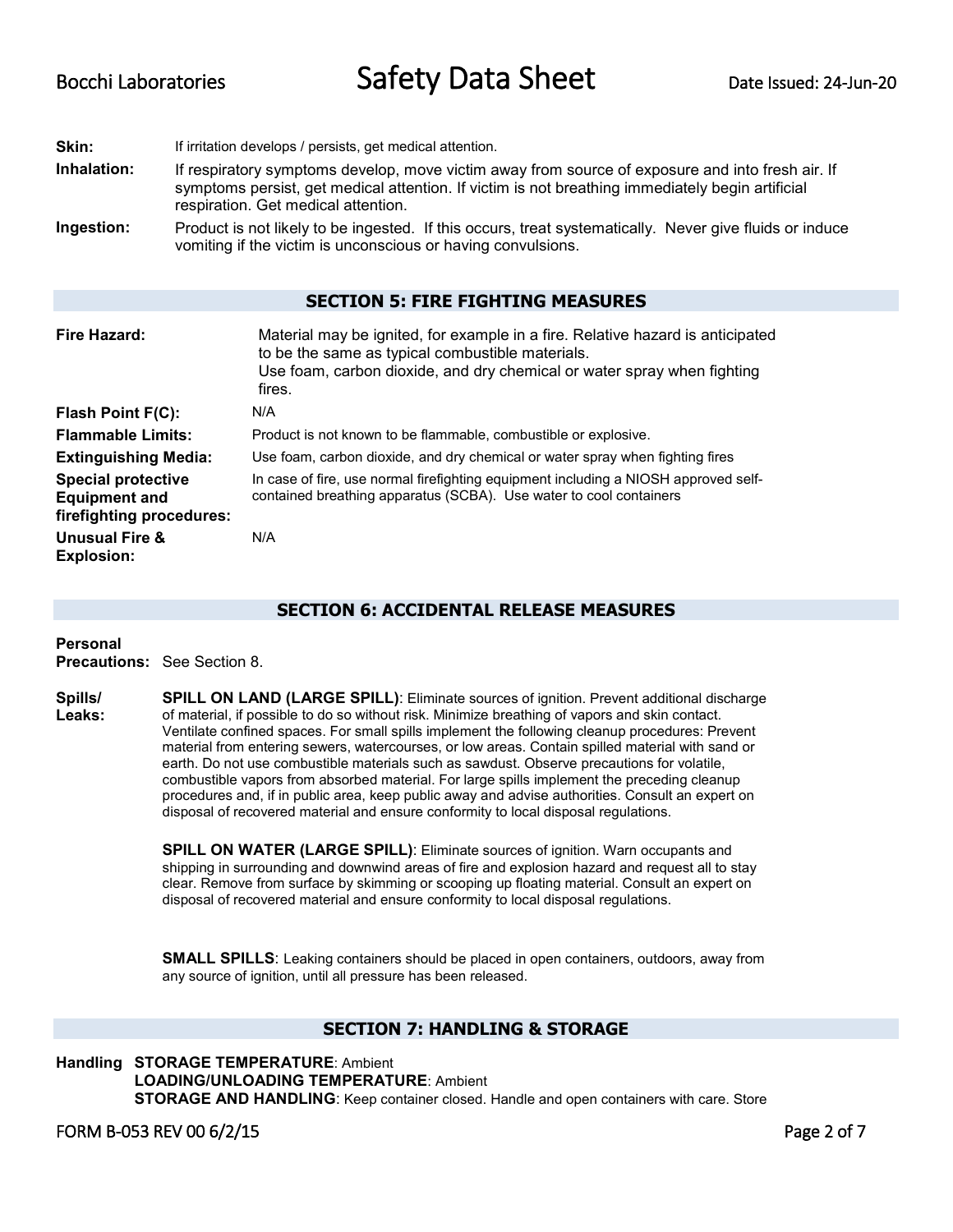**Skin:** If irritation develops / persists, get medical attention. **Inhalation:** If respiratory symptoms develop, move victim away from source of exposure and into fresh air. If symptoms persist, get medical attention. If victim is not breathing immediately begin artificial respiration. Get medical attention. **Ingestion:** Product is not likely to be ingested. If this occurs, treat systematically. Never give fluids or induce

### **SECTION 5: FIRE FIGHTING MEASURES**

| Fire Hazard:                                                                  | Material may be ignited, for example in a fire. Relative hazard is anticipated<br>to be the same as typical combustible materials.<br>Use foam, carbon dioxide, and dry chemical or water spray when fighting<br>fires. |
|-------------------------------------------------------------------------------|-------------------------------------------------------------------------------------------------------------------------------------------------------------------------------------------------------------------------|
| Flash Point F(C):                                                             | N/A                                                                                                                                                                                                                     |
| <b>Flammable Limits:</b>                                                      | Product is not known to be flammable, combustible or explosive.                                                                                                                                                         |
| <b>Extinguishing Media:</b>                                                   | Use foam, carbon dioxide, and dry chemical or water spray when fighting fires                                                                                                                                           |
| <b>Special protective</b><br><b>Equipment and</b><br>firefighting procedures: | In case of fire, use normal firefighting equipment including a NIOSH approved self-<br>contained breathing apparatus (SCBA). Use water to cool containers                                                               |
| <b>Unusual Fire &amp;</b><br><b>Explosion:</b>                                | N/A                                                                                                                                                                                                                     |

vomiting if the victim is unconscious or having convulsions.

## **SECTION 6: ACCIDENTAL RELEASE MEASURES**

**Personal Precautions:** See Section 8.

**Spills/ Leaks: SPILL ON LAND (LARGE SPILL)**: Eliminate sources of ignition. Prevent additional discharge of material, if possible to do so without risk. Minimize breathing of vapors and skin contact. Ventilate confined spaces. For small spills implement the following cleanup procedures: Prevent material from entering sewers, watercourses, or low areas. Contain spilled material with sand or earth. Do not use combustible materials such as sawdust. Observe precautions for volatile, combustible vapors from absorbed material. For large spills implement the preceding cleanup procedures and, if in public area, keep public away and advise authorities. Consult an expert on disposal of recovered material and ensure conformity to local disposal regulations.

> **SPILL ON WATER (LARGE SPILL):** Eliminate sources of ignition. Warn occupants and shipping in surrounding and downwind areas of fire and explosion hazard and request all to stay clear. Remove from surface by skimming or scooping up floating material. Consult an expert on disposal of recovered material and ensure conformity to local disposal regulations.

**SMALL SPILLS**: Leaking containers should be placed in open containers, outdoors, away from any source of ignition, until all pressure has been released.

# **SECTION 7: HANDLING & STORAGE**

**Handling STORAGE TEMPERATURE**: Ambient **LOADING/UNLOADING TEMPERATURE**: Ambient **STORAGE AND HANDLING**: Keep container closed. Handle and open containers with care. Store

FORM B-053 REV 00 6/2/15 Page 2 of 7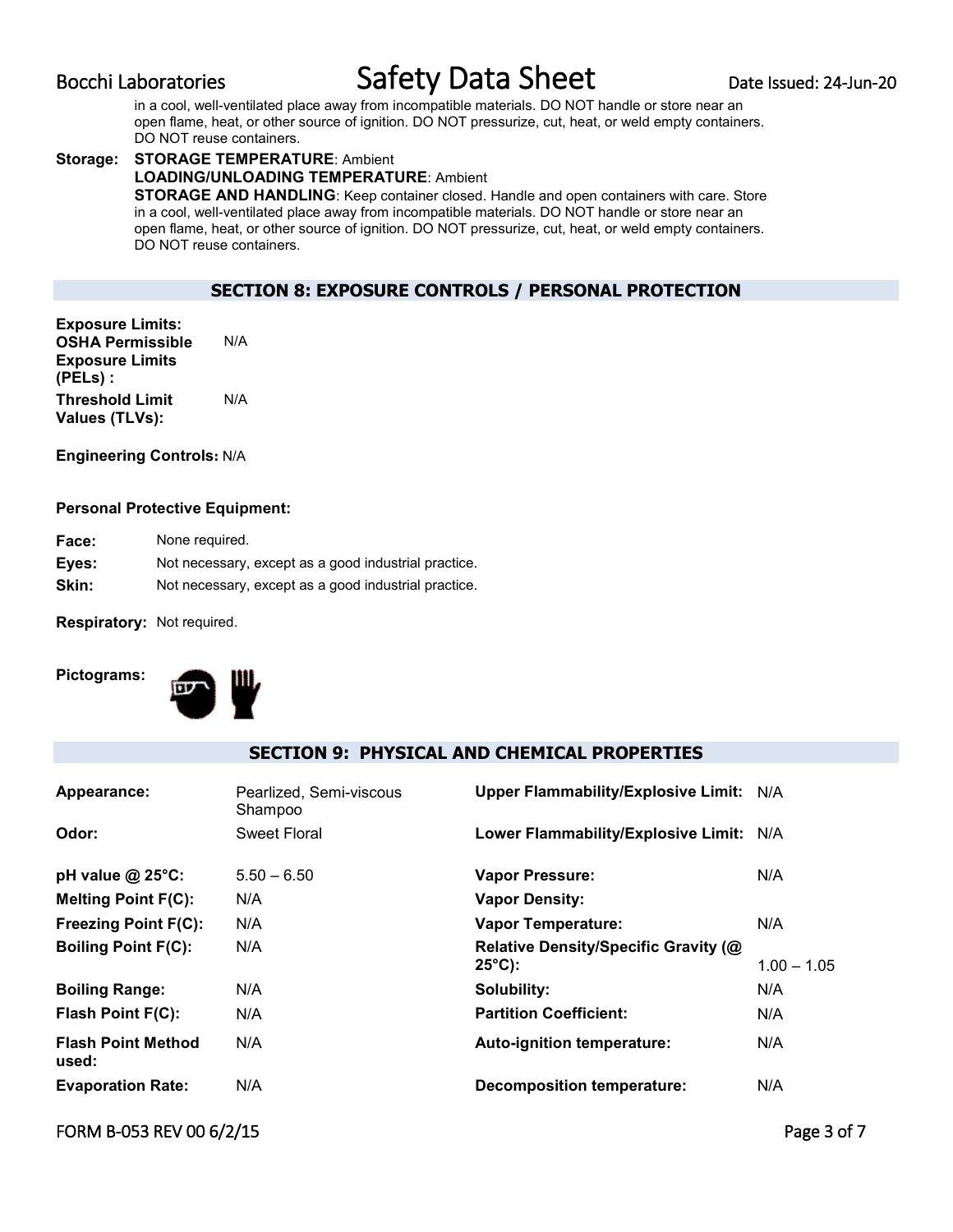in a cool, well-ventilated place away from incompatible materials. DO NOT handle or store near an open flame, heat, or other source of ignition. DO NOT pressurize, cut, heat, or weld empty containers. DO NOT reuse containers.

#### **Storage: STORAGE TEMPERATURE**: Ambient **LOADING/UNLOADING TEMPERATURE**: Ambient **STORAGE AND HANDLING**: Keep container closed. Handle and open containers with care. Store in a cool, well-ventilated place away from incompatible materials. DO NOT handle or store near an open flame, heat, or other source of ignition. DO NOT pressurize, cut, heat, or weld empty containers. DO NOT reuse containers.

# **SECTION 8: EXPOSURE CONTROLS / PERSONAL PROTECTION**

**Exposure Limits: OSHA Permissible Exposure Limits (PELs) :** N/A **Threshold Limit Values (TLVs):**  N/A

**Engineering Controls:** N/A

### **Personal Protective Equipment:**

| <b>Face:</b> | None required.                                       |
|--------------|------------------------------------------------------|
| Eves:        | Not necessary, except as a good industrial practice. |
| Skin:        | Not necessary, except as a good industrial practice. |

**Respiratory:** Not required.

**Pictograms:**



# **SECTION 9: PHYSICAL AND CHEMICAL PROPERTIES**

| Appearance:                        | Pearlized, Semi-viscous<br>Shampoo | Upper Flammability/Explosive Limit: N/A                  |               |
|------------------------------------|------------------------------------|----------------------------------------------------------|---------------|
| Odor:                              | Sweet Floral                       | Lower Flammability/Explosive Limit: N/A                  |               |
| pH value $@$ 25 $°C$ :             | $5.50 - 6.50$                      | <b>Vapor Pressure:</b>                                   | N/A           |
| <b>Melting Point F(C):</b>         | N/A                                | <b>Vapor Density:</b>                                    |               |
| <b>Freezing Point F(C):</b>        | N/A                                | <b>Vapor Temperature:</b>                                | N/A           |
| <b>Boiling Point F(C):</b>         | N/A                                | Relative Density/Specific Gravity (@<br>$25^{\circ}$ C): | $1.00 - 1.05$ |
| <b>Boiling Range:</b>              | N/A                                | Solubility:                                              | N/A           |
| Flash Point F(C):                  | N/A                                | <b>Partition Coefficient:</b>                            | N/A           |
| <b>Flash Point Method</b><br>used: | N/A                                | Auto-ignition temperature:                               | N/A           |
| <b>Evaporation Rate:</b>           | N/A                                | Decomposition temperature:                               | N/A           |

# FORM B-053 REV 00 6/2/15 Page 3 of 7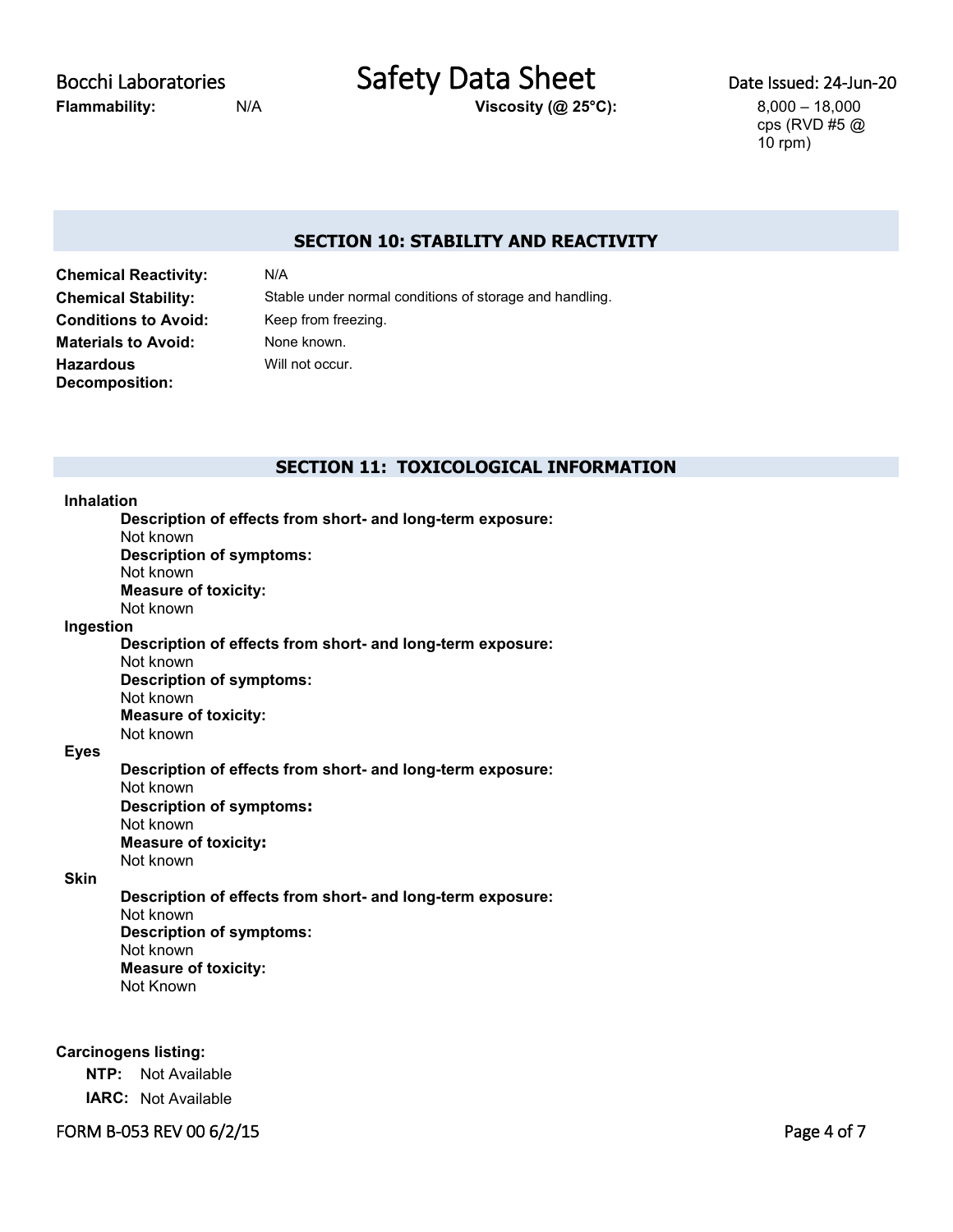**Flammability:** N/A **Viscosity (@ 25°C):** 8,000 – 18,000

Bocchi Laboratories **Safety Data Sheet** Date Issued: 24-Jun-20

cps (RVD #5 @ 10 rpm)

# **SECTION 10: STABILITY AND REACTIVITY**

**Chemical Reactivity:** N/A **Conditions to Avoid:** Keep from freezing. **Materials to Avoid:** None known. **Hazardous Decomposition:**

**Chemical Stability:** Stable under normal conditions of storage and handling. Will not occur.

## **SECTION 11: TOXICOLOGICAL INFORMATION**

#### **Inhalation**

**Description of effects from short- and long-term exposure:** Not known **Description of symptoms:** Not known **Measure of toxicity:** Not known **Ingestion Description of effects from short- and long-term exposure:** Not known

> **Description of symptoms:** Not known **Measure of toxicity:** Not known

#### **Eyes**

**Description of effects from short- and long-term exposure:** Not known **Description of symptoms:** Not known **Measure of toxicity:** Not known

### **Skin**

**Description of effects from short- and long-term exposure:** Not known **Description of symptoms:** Not known **Measure of toxicity:** Not Known

### **Carcinogens listing:**

**NTP:** Not Available **IARC:** Not Available

FORM B-053 REV 00 6/2/15 Page 4 of 7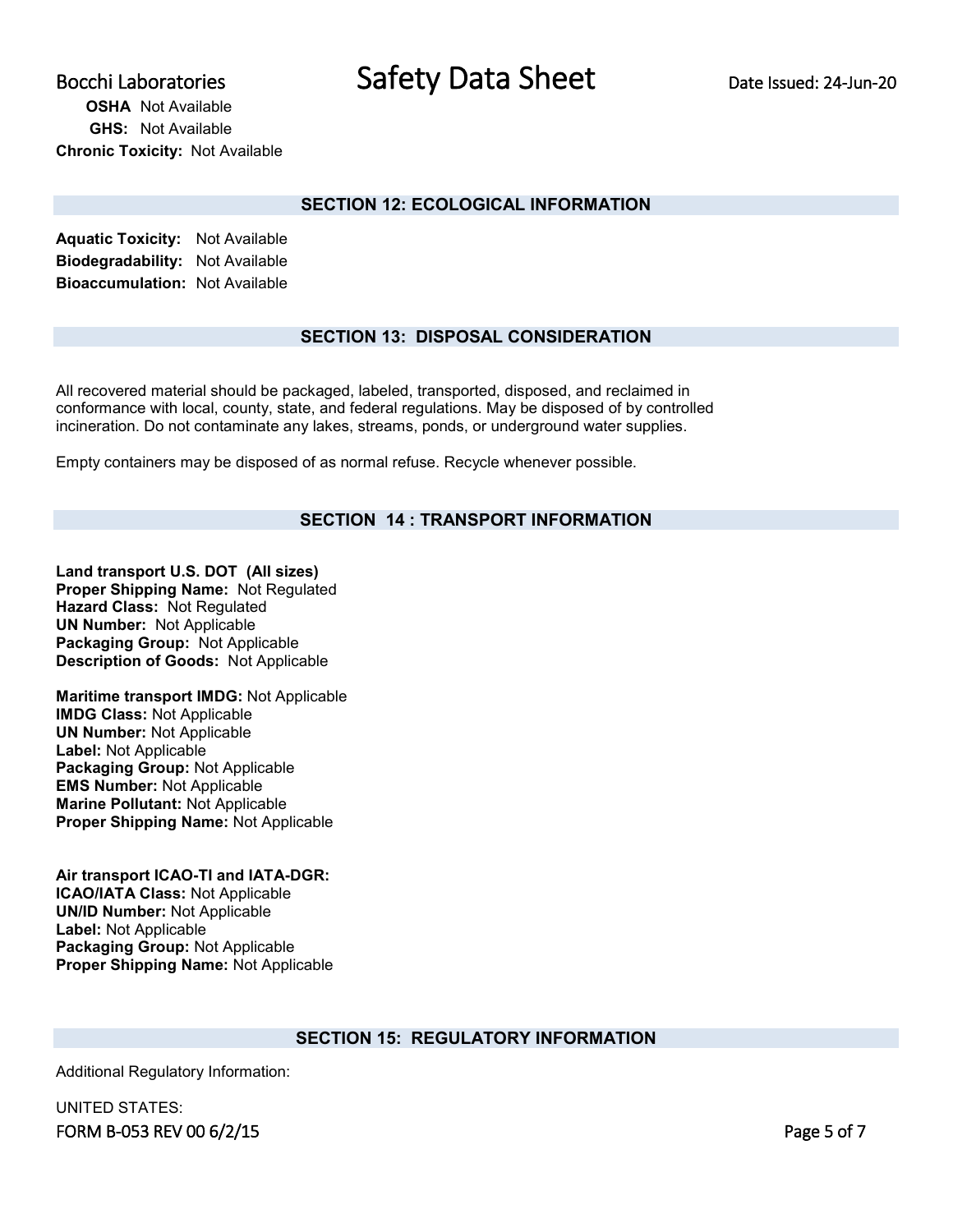# **OSHA** Not Available **GHS:** Not Available **Chronic Toxicity:** Not Available

# **SECTION 12: ECOLOGICAL INFORMATION**

**Aquatic Toxicity:** Not Available **Biodegradability:** Not Available **Bioaccumulation:** Not Available

# **SECTION 13: DISPOSAL CONSIDERATION**

All recovered material should be packaged, labeled, transported, disposed, and reclaimed in conformance with local, county, state, and federal regulations. May be disposed of by controlled incineration. Do not contaminate any lakes, streams, ponds, or underground water supplies.

Empty containers may be disposed of as normal refuse. Recycle whenever possible.

# **SECTION 14 : TRANSPORT INFORMATION**

**Land transport U.S. DOT (All sizes) Proper Shipping Name:** Not Regulated **Hazard Class:** Not Regulated **UN Number:** Not Applicable **Packaging Group:** Not Applicable **Description of Goods:** Not Applicable

**Maritime transport IMDG:** Not Applicable **IMDG Class:** Not Applicable **UN Number:** Not Applicable **Label:** Not Applicable **Packaging Group:** Not Applicable **EMS Number:** Not Applicable **Marine Pollutant:** Not Applicable **Proper Shipping Name:** Not Applicable

**Air transport ICAO-TI and IATA-DGR: ICAO/IATA Class:** Not Applicable **UN/ID Number:** Not Applicable **Label:** Not Applicable **Packaging Group:** Not Applicable **Proper Shipping Name:** Not Applicable

## **SECTION 15: REGULATORY INFORMATION**

Additional Regulatory Information:

FORM B-053 REV 00 6/2/15 Page 5 of 7 UNITED STATES: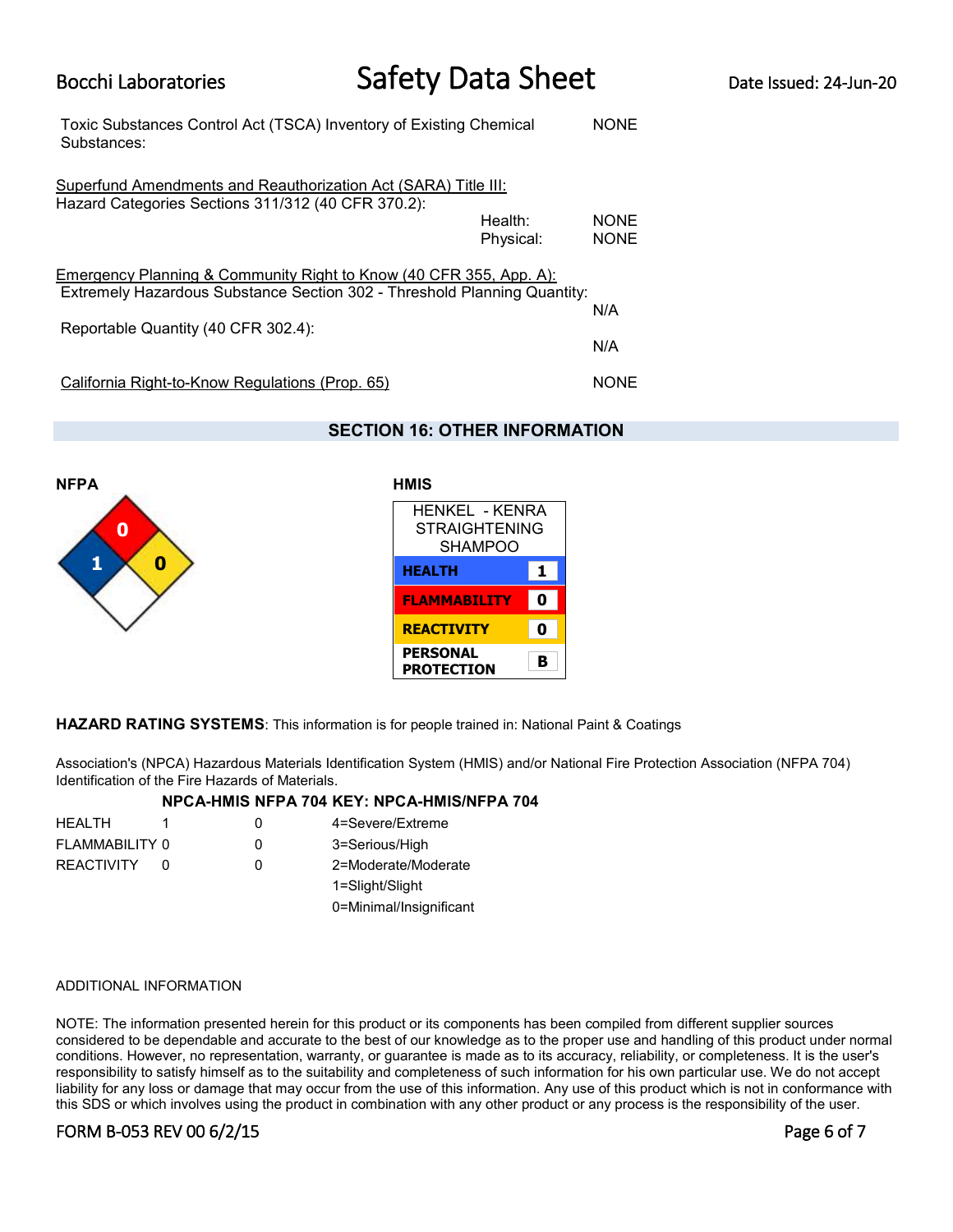| Toxic Substances Control Act (TSCA) Inventory of Existing Chemical<br>Substances:                                                                         |                      | <b>NONE</b>                |
|-----------------------------------------------------------------------------------------------------------------------------------------------------------|----------------------|----------------------------|
| Superfund Amendments and Reauthorization Act (SARA) Title III:<br>Hazard Categories Sections 311/312 (40 CFR 370.2):                                      | Health:<br>Physical: | <b>NONE</b><br><b>NONE</b> |
| <b>Emergency Planning &amp; Community Right to Know (40 CFR 355, App. A):</b><br>Extremely Hazardous Substance Section 302 - Threshold Planning Quantity: |                      |                            |
| Reportable Quantity (40 CFR 302.4):                                                                                                                       |                      | N/A                        |
|                                                                                                                                                           |                      | N/A                        |
| California Right-to-Know Regulations (Prop. 65)                                                                                                           |                      | <b>NONE</b>                |

# **SECTION 16: OTHER INFORMATION**



| HENKEL - KENRA<br><b>STRAIGHTENING</b><br><b>SHAMPOO</b> |   |
|----------------------------------------------------------|---|
| <b>HEALTH</b>                                            | 1 |
| <b>FLAMMABILITY</b>                                      | Ω |
| <b>REACTIVITY</b>                                        | Ω |
| <b>PERSONAL</b><br>PROTECTION                            | B |

**HAZARD RATING SYSTEMS**: This information is for people trained in: National Paint & Coatings

Association's (NPCA) Hazardous Materials Identification System (HMIS) and/or National Fire Protection Association (NFPA 704) Identification of the Fire Hazards of Materials.

### **NPCA-HMIS NFPA 704 KEY: NPCA-HMIS/NFPA 704**

| <b>HEALTH</b>     | 0 | 4=Severe/Extreme        |
|-------------------|---|-------------------------|
| FLAMMABILITY 0    | 0 | 3=Serious/High          |
| <b>REACTIVITY</b> | Ω | 2=Moderate/Moderate     |
|                   |   | 1=Slight/Slight         |
|                   |   | 0=Minimal/Insignificant |

#### ADDITIONAL INFORMATION

NOTE: The information presented herein for this product or its components has been compiled from different supplier sources considered to be dependable and accurate to the best of our knowledge as to the proper use and handling of this product under normal conditions. However, no representation, warranty, or guarantee is made as to its accuracy, reliability, or completeness. It is the user's responsibility to satisfy himself as to the suitability and completeness of such information for his own particular use. We do not accept liability for any loss or damage that may occur from the use of this information. Any use of this product which is not in conformance with this SDS or which involves using the product in combination with any other product or any process is the responsibility of the user.

# FORM B-053 REV 00 6/2/15 Page 6 of 7